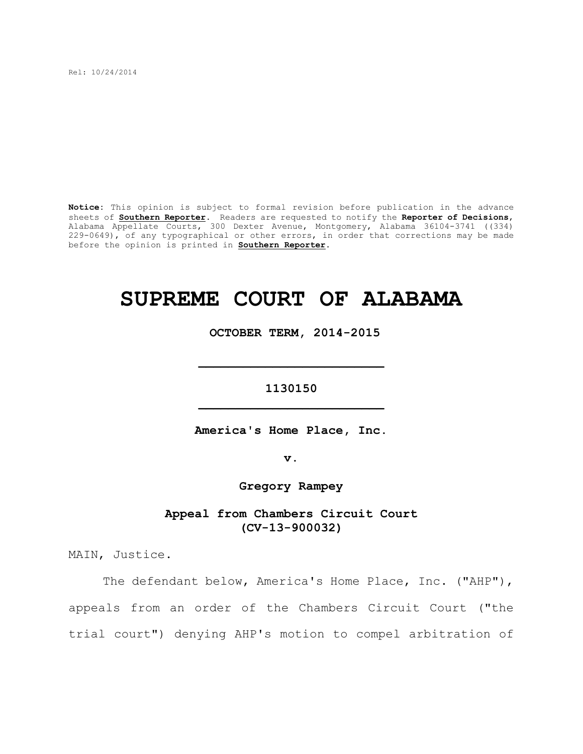Rel: 10/24/2014

**Notice:** This opinion is subject to formal revision before publication in the advance sheets of **Southern Reporter**. Readers are requested to notify the **Reporter of Decisions**, Alabama Appellate Courts, 300 Dexter Avenue, Montgomery, Alabama 36104-3741 ((334) 229-0649), of any typographical or other errors, in order that corrections may be made before the opinion is printed in **Southern Reporter**.

# **SUPREME COURT OF ALABAMA**

 **OCTOBER TERM, 2014-2015**

## **1130150 \_\_\_\_\_\_\_\_\_\_\_\_\_\_\_\_\_\_\_\_\_\_\_\_\_**

**\_\_\_\_\_\_\_\_\_\_\_\_\_\_\_\_\_\_\_\_\_\_\_\_\_**

**America's Home Place, Inc.**

**v.**

**Gregory Rampey**

**Appeal from Chambers Circuit Court (CV-13-900032)**

MAIN, Justice.

The defendant below, America's Home Place, Inc. ("AHP"), appeals from an order of the Chambers Circuit Court ("the trial court") denying AHP's motion to compel arbitration of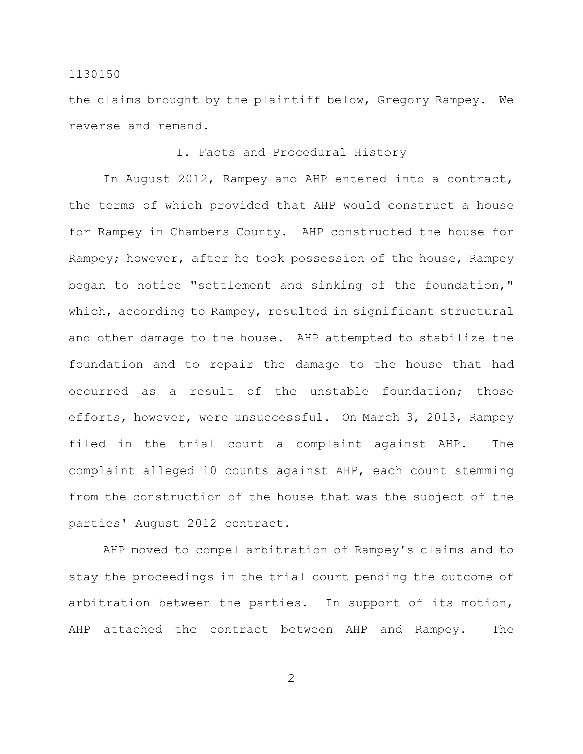the claims brought by the plaintiff below, Gregory Rampey. We reverse and remand.

#### I. Facts and Procedural History

In August 2012, Rampey and AHP entered into a contract, the terms of which provided that AHP would construct a house for Rampey in Chambers County. AHP constructed the house for Rampey; however, after he took possession of the house, Rampey began to notice "settlement and sinking of the foundation," which, according to Rampey, resulted in significant structural and other damage to the house. AHP attempted to stabilize the foundation and to repair the damage to the house that had occurred as a result of the unstable foundation; those efforts, however, were unsuccessful. On March 3, 2013, Rampey filed in the trial court a complaint against AHP. The complaint alleged 10 counts against AHP, each count stemming from the construction of the house that was the subject of the parties' August 2012 contract.

AHP moved to compel arbitration of Rampey's claims and to stay the proceedings in the trial court pending the outcome of arbitration between the parties. In support of its motion, AHP attached the contract between AHP and Rampey. The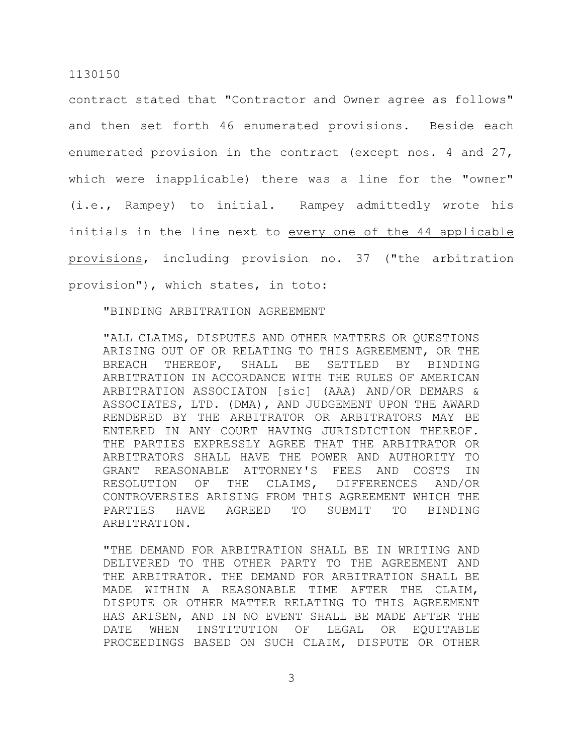contract stated that "Contractor and Owner agree as follows" and then set forth 46 enumerated provisions. Beside each enumerated provision in the contract (except nos. 4 and 27, which were inapplicable) there was a line for the "owner" (i.e., Rampey) to initial. Rampey admittedly wrote his initials in the line next to every one of the 44 applicable provisions, including provision no. 37 ("the arbitration provision"), which states, in toto:

"BINDING ARBITRATION AGREEMENT

"ALL CLAIMS, DISPUTES AND OTHER MATTERS OR QUESTIONS ARISING OUT OF OR RELATING TO THIS AGREEMENT, OR THE BREACH THEREOF, SHALL BE SETTLED BY BINDING ARBITRATION IN ACCORDANCE WITH THE RULES OF AMERICAN ARBITRATION ASSOCIATON [sic] (AAA) AND/OR DEMARS & ASSOCIATES, LTD. (DMA), AND JUDGEMENT UPON THE AWARD RENDERED BY THE ARBITRATOR OR ARBITRATORS MAY BE ENTERED IN ANY COURT HAVING JURISDICTION THEREOF. THE PARTIES EXPRESSLY AGREE THAT THE ARBITRATOR OR ARBITRATORS SHALL HAVE THE POWER AND AUTHORITY TO GRANT REASONABLE ATTORNEY'S FEES AND COSTS IN RESOLUTION OF THE CLAIMS, DIFFERENCES AND/OR CONTROVERSIES ARISING FROM THIS AGREEMENT WHICH THE PARTIES HAVE AGREED TO SUBMIT TO BINDING ARBITRATION.

"THE DEMAND FOR ARBITRATION SHALL BE IN WRITING AND DELIVERED TO THE OTHER PARTY TO THE AGREEMENT AND THE ARBITRATOR. THE DEMAND FOR ARBITRATION SHALL BE MADE WITHIN A REASONABLE TIME AFTER THE CLAIM, DISPUTE OR OTHER MATTER RELATING TO THIS AGREEMENT HAS ARISEN, AND IN NO EVENT SHALL BE MADE AFTER THE DATE WHEN INSTITUTION OF LEGAL OR EQUITABLE PROCEEDINGS BASED ON SUCH CLAIM, DISPUTE OR OTHER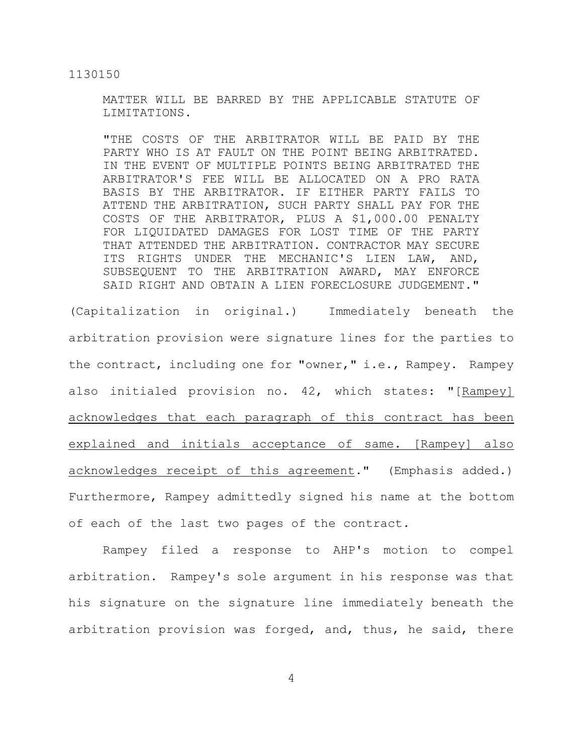MATTER WILL BE BARRED BY THE APPLICABLE STATUTE OF LIMITATIONS.

"THE COSTS OF THE ARBITRATOR WILL BE PAID BY THE PARTY WHO IS AT FAULT ON THE POINT BEING ARBITRATED. IN THE EVENT OF MULTIPLE POINTS BEING ARBITRATED THE ARBITRATOR'S FEE WILL BE ALLOCATED ON A PRO RATA BASIS BY THE ARBITRATOR. IF EITHER PARTY FAILS TO ATTEND THE ARBITRATION, SUCH PARTY SHALL PAY FOR THE COSTS OF THE ARBITRATOR, PLUS A \$1,000.00 PENALTY FOR LIQUIDATED DAMAGES FOR LOST TIME OF THE PARTY THAT ATTENDED THE ARBITRATION. CONTRACTOR MAY SECURE ITS RIGHTS UNDER THE MECHANIC'S LIEN LAW, AND, SUBSEQUENT TO THE ARBITRATION AWARD, MAY ENFORCE SAID RIGHT AND OBTAIN A LIEN FORECLOSURE JUDGEMENT."

(Capitalization in original.) Immediately beneath the arbitration provision were signature lines for the parties to the contract, including one for "owner," i.e., Rampey. Rampey also initialed provision no. 42, which states: "[Rampey] acknowledges that each paragraph of this contract has been explained and initials acceptance of same. [Rampey] also acknowledges receipt of this agreement." (Emphasis added.) Furthermore, Rampey admittedly signed his name at the bottom of each of the last two pages of the contract.

Rampey filed a response to AHP's motion to compel arbitration. Rampey's sole argument in his response was that his signature on the signature line immediately beneath the arbitration provision was forged, and, thus, he said, there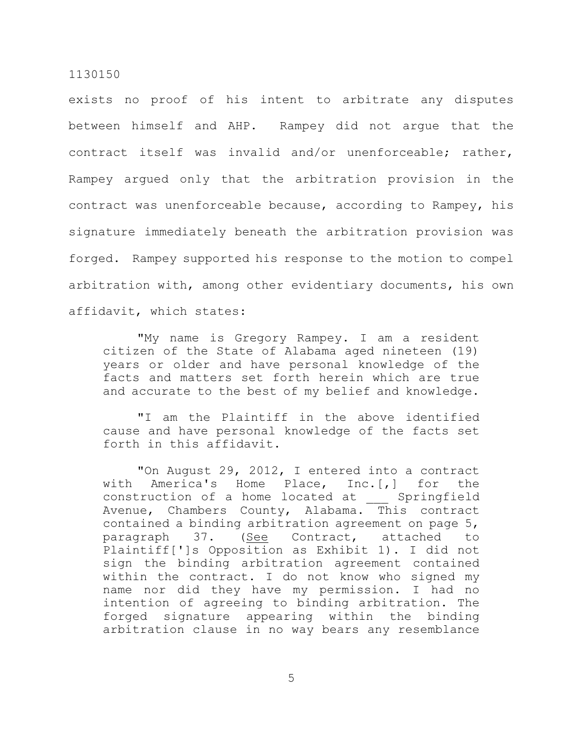exists no proof of his intent to arbitrate any disputes between himself and AHP. Rampey did not argue that the contract itself was invalid and/or unenforceable; rather, Rampey argued only that the arbitration provision in the contract was unenforceable because, according to Rampey, his signature immediately beneath the arbitration provision was forged. Rampey supported his response to the motion to compel arbitration with, among other evidentiary documents, his own affidavit, which states:

"My name is Gregory Rampey. I am a resident citizen of the State of Alabama aged nineteen (19) years or older and have personal knowledge of the facts and matters set forth herein which are true and accurate to the best of my belief and knowledge.

"I am the Plaintiff in the above identified cause and have personal knowledge of the facts set forth in this affidavit.

"On August 29, 2012, I entered into a contract with America's Home Place, Inc.[,] for the construction of a home located at \_\_\_ Springfield Avenue, Chambers County, Alabama. This contract contained a binding arbitration agreement on page 5, paragraph 37. (See Contract, attached to Plaintiff[']s Opposition as Exhibit 1). I did not sign the binding arbitration agreement contained within the contract. I do not know who signed my name nor did they have my permission. I had no intention of agreeing to binding arbitration. The forged signature appearing within the binding arbitration clause in no way bears any resemblance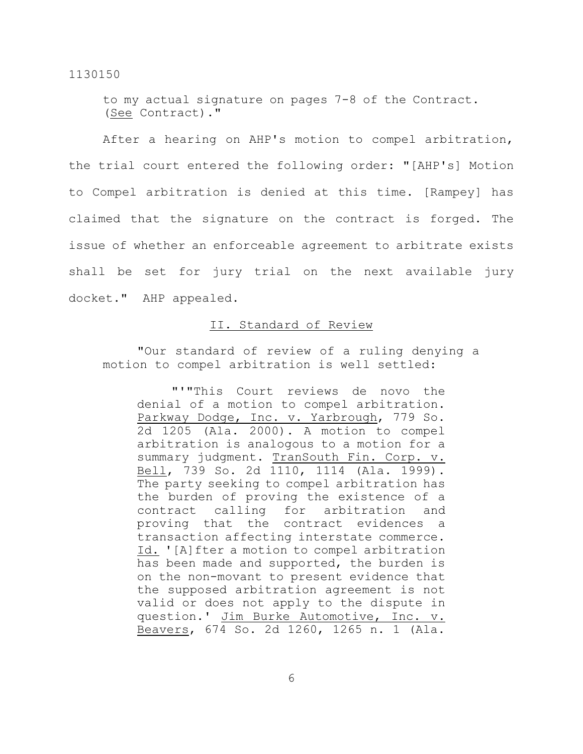to my actual signature on pages 7-8 of the Contract. (See Contract)."

After a hearing on AHP's motion to compel arbitration, the trial court entered the following order: "[AHP's] Motion to Compel arbitration is denied at this time. [Rampey] has claimed that the signature on the contract is forged. The issue of whether an enforceable agreement to arbitrate exists shall be set for jury trial on the next available jury docket." AHP appealed.

## II. Standard of Review

"Our standard of review of a ruling denying a motion to compel arbitration is well settled:

"'"This Court reviews de novo the denial of a motion to compel arbitration. Parkway Dodge, Inc. v. Yarbrough, 779 So. 2d 1205 (Ala. 2000). A motion to compel arbitration is analogous to a motion for a summary judgment. TranSouth Fin. Corp. v. Bell, 739 So. 2d 1110, 1114 (Ala. 1999). The party seeking to compel arbitration has the burden of proving the existence of a contract calling for arbitration and proving that the contract evidences a transaction affecting interstate commerce. Id. '[A]fter a motion to compel arbitration has been made and supported, the burden is on the non-movant to present evidence that the supposed arbitration agreement is not valid or does not apply to the dispute in question.' Jim Burke Automotive, Inc. v. Beavers, 674 So. 2d 1260, 1265 n. 1 (Ala.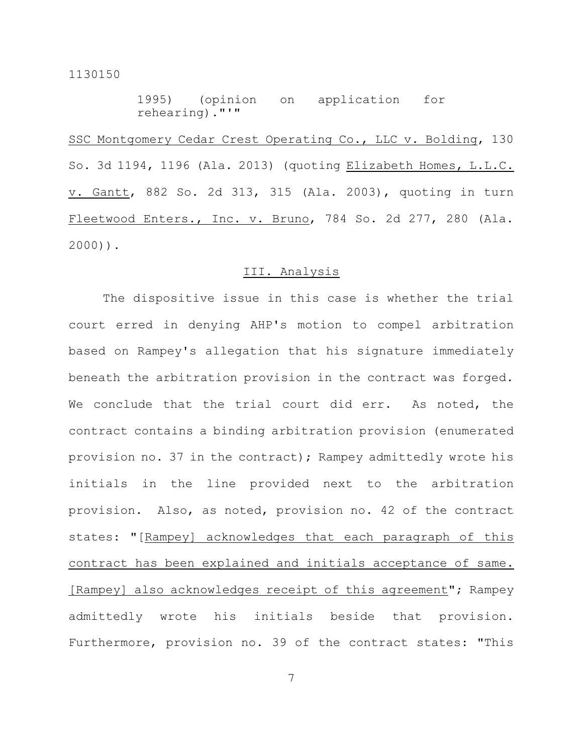1995) (opinion on application for rehearing)."'"

SSC Montgomery Cedar Crest Operating Co., LLC v. Bolding, 130 So. 3d 1194, 1196 (Ala. 2013) (quoting Elizabeth Homes, L.L.C. v. Gantt, 882 So. 2d 313, 315 (Ala. 2003), quoting in turn Fleetwood Enters., Inc. v. Bruno, 784 So. 2d 277, 280 (Ala. 2000)).

## III. Analysis

The dispositive issue in this case is whether the trial court erred in denying AHP's motion to compel arbitration based on Rampey's allegation that his signature immediately beneath the arbitration provision in the contract was forged. We conclude that the trial court did err. As noted, the contract contains a binding arbitration provision (enumerated provision no. 37 in the contract); Rampey admittedly wrote his initials in the line provided next to the arbitration provision. Also, as noted, provision no. 42 of the contract states: "[Rampey] acknowledges that each paragraph of this contract has been explained and initials acceptance of same. [Rampey] also acknowledges receipt of this agreement"; Rampey admittedly wrote his initials beside that provision. Furthermore, provision no. 39 of the contract states: "This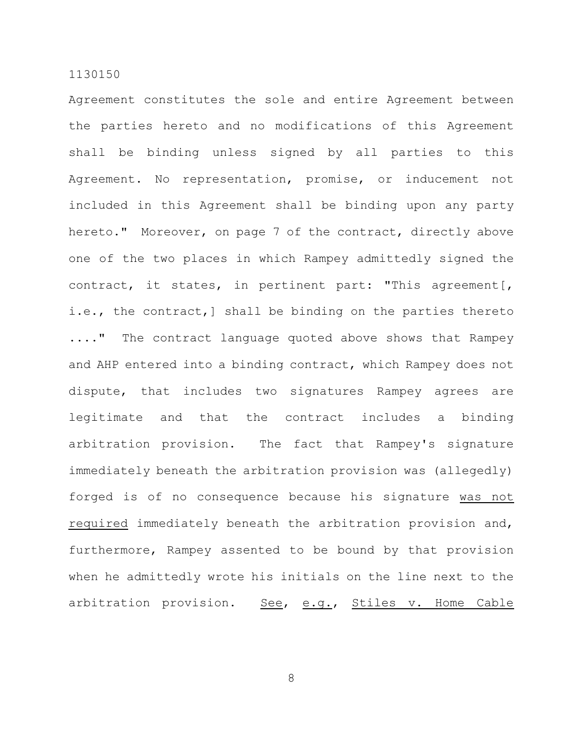Agreement constitutes the sole and entire Agreement between the parties hereto and no modifications of this Agreement shall be binding unless signed by all parties to this Agreement. No representation, promise, or inducement not included in this Agreement shall be binding upon any party hereto." Moreover, on page 7 of the contract, directly above one of the two places in which Rampey admittedly signed the contract, it states, in pertinent part: "This agreement[, i.e., the contract,] shall be binding on the parties thereto ...." The contract language quoted above shows that Rampey and AHP entered into a binding contract, which Rampey does not dispute, that includes two signatures Rampey agrees are legitimate and that the contract includes a binding arbitration provision. The fact that Rampey's signature immediately beneath the arbitration provision was (allegedly) forged is of no consequence because his signature was not required immediately beneath the arbitration provision and, furthermore, Rampey assented to be bound by that provision when he admittedly wrote his initials on the line next to the arbitration provision. See, e.g., Stiles v. Home Cable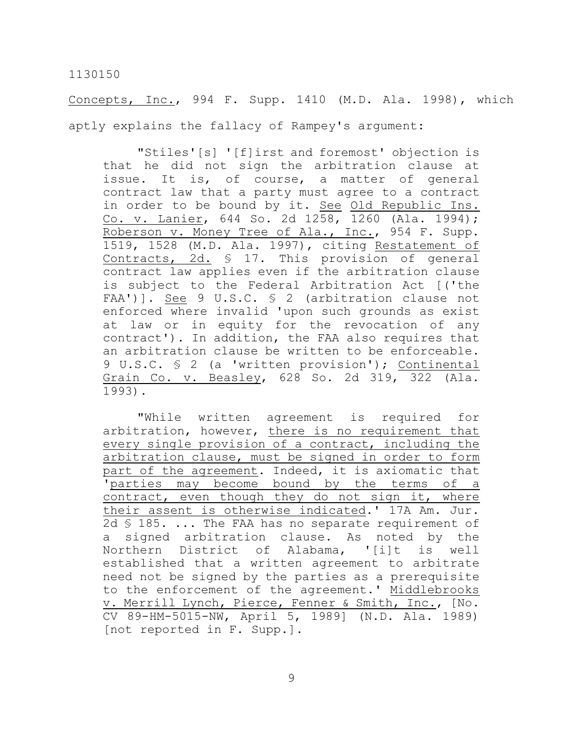Concepts, Inc., 994 F. Supp. 1410 (M.D. Ala. 1998), which aptly explains the fallacy of Rampey's argument:

"Stiles'[s] '[f]irst and foremost' objection is that he did not sign the arbitration clause at issue. It is, of course, a matter of general contract law that a party must agree to a contract in order to be bound by it. See Old Republic Ins. Co. v. Lanier, 644 So. 2d 1258, 1260 (Ala. 1994); Roberson v. Money Tree of Ala., Inc., 954 F. Supp. 1519, 1528 (M.D. Ala. 1997), citing Restatement of Contracts, 2d. § 17. This provision of general contract law applies even if the arbitration clause is subject to the Federal Arbitration Act [('the FAA')]. See 9 U.S.C. § 2 (arbitration clause not enforced where invalid 'upon such grounds as exist at law or in equity for the revocation of any contract'). In addition, the FAA also requires that an arbitration clause be written to be enforceable. 9 U.S.C. § 2 (a 'written provision'); Continental Grain Co. v. Beasley, 628 So. 2d 319, 322 (Ala. 1993).

"While written agreement is required for arbitration, however, there is no requirement that every single provision of a contract, including the arbitration clause, must be signed in order to form part of the agreement. Indeed, it is axiomatic that 'parties may become bound by the terms of a contract, even though they do not sign it, where their assent is otherwise indicated.' 17A Am. Jur. 2d § 185. ... The FAA has no separate requirement of a signed arbitration clause. As noted by the Northern District of Alabama, '[i]t is well established that a written agreement to arbitrate need not be signed by the parties as a prerequisite to the enforcement of the agreement.' Middlebrooks v. Merrill Lynch, Pierce, Fenner & Smith, Inc., [No. CV 89-HM-5015-NW, April 5, 1989] (N.D. Ala. 1989) [not reported in F. Supp.].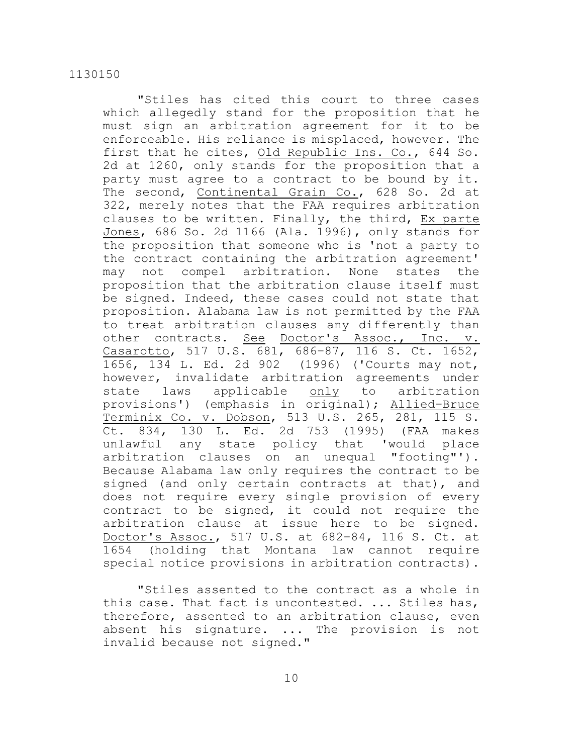"Stiles has cited this court to three cases which allegedly stand for the proposition that he must sign an arbitration agreement for it to be enforceable. His reliance is misplaced, however. The first that he cites, Old Republic Ins. Co., 644 So. 2d at 1260, only stands for the proposition that a party must agree to a contract to be bound by it. The second, Continental Grain Co., 628 So. 2d at 322, merely notes that the FAA requires arbitration clauses to be written. Finally, the third, Ex parte Jones, 686 So. 2d 1166 (Ala. 1996), only stands for the proposition that someone who is 'not a party to the contract containing the arbitration agreement' may not compel arbitration. None states the proposition that the arbitration clause itself must be signed. Indeed, these cases could not state that proposition. Alabama law is not permitted by the FAA to treat arbitration clauses any differently than other contracts. See Doctor's Assoc., Inc. v. Casarotto, 517 U.S. 681, 686–87, 116 S. Ct. 1652, 1656, 134 L. Ed. 2d 902 (1996) ('Courts may not, however, invalidate arbitration agreements under state laws applicable only to arbitration provisions') (emphasis in original); Allied–Bruce Terminix Co. v. Dobson, 513 U.S. 265, 281, 115 S. Ct. 834, 130 L. Ed. 2d 753 (1995) (FAA makes unlawful any state policy that 'would place arbitration clauses on an unequal "footing"'). Because Alabama law only requires the contract to be signed (and only certain contracts at that), and does not require every single provision of every contract to be signed, it could not require the arbitration clause at issue here to be signed. Doctor's Assoc., 517 U.S. at 682–84, 116 S. Ct. at 1654 (holding that Montana law cannot require special notice provisions in arbitration contracts).

"Stiles assented to the contract as a whole in this case. That fact is uncontested. ... Stiles has, therefore, assented to an arbitration clause, even absent his signature. ... The provision is not invalid because not signed."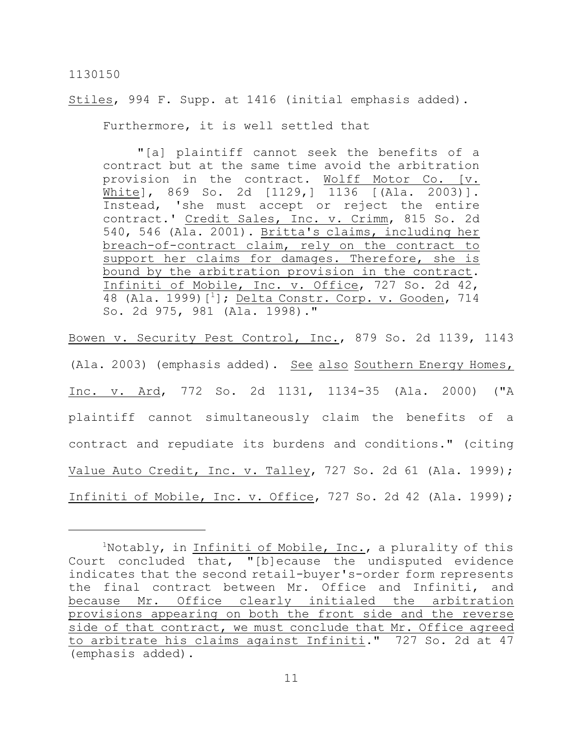## Stiles, 994 F. Supp. at 1416 (initial emphasis added).

Furthermore, it is well settled that

"[a] plaintiff cannot seek the benefits of a contract but at the same time avoid the arbitration provision in the contract. Wolff Motor Co. [v. White], 869 So. 2d [1129,] 1136 [(Ala. 2003)]. Instead, 'she must accept or reject the entire contract.' Credit Sales, Inc. v. Crimm, 815 So. 2d 540, 546 (Ala. 2001). Britta's claims, including her breach-of-contract claim, rely on the contract to support her claims for damages. Therefore, she is bound by the arbitration provision in the contract. Infiniti of Mobile, Inc. v. Office, 727 So. 2d 42, 48 (Ala. 1999) [<sup>1</sup>]; Delta Constr<u>. Corp. v. Gooden</u>, 714 So. 2d 975, 981 (Ala. 1998)."

Bowen v. Security Pest Control, Inc., 879 So. 2d 1139, 1143 (Ala. 2003) (emphasis added). See also Southern Energy Homes, Inc. v. Ard, 772 So. 2d 1131, 1134-35 (Ala. 2000) ("A plaintiff cannot simultaneously claim the benefits of a contract and repudiate its burdens and conditions." (citing Value Auto Credit, Inc. v. Talley, 727 So. 2d 61 (Ala. 1999); Infiniti of Mobile, Inc. v. Office, 727 So. 2d 42 (Ala. 1999);

<sup>&</sup>lt;sup>1</sup>Notably, in Infiniti of Mobile, Inc., a plurality of this Court concluded that, "[b]ecause the undisputed evidence indicates that the second retail-buyer's-order form represents the final contract between Mr. Office and Infiniti, and because Mr. Office clearly initialed the arbitration provisions appearing on both the front side and the reverse side of that contract, we must conclude that Mr. Office agreed to arbitrate his claims against Infiniti." 727 So. 2d at 47 (emphasis added).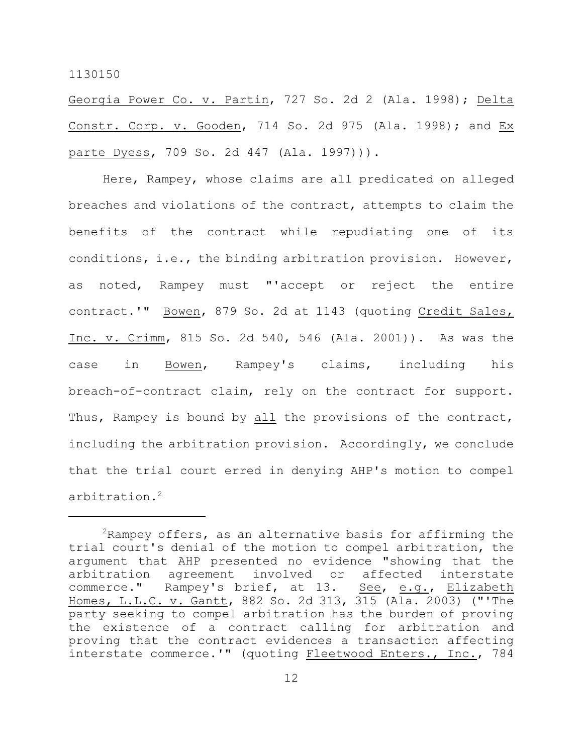Georgia Power Co. v. Partin, 727 So. 2d 2 (Ala. 1998); Delta Constr. Corp. v. Gooden, 714 So. 2d 975 (Ala. 1998); and Ex parte Dyess, 709 So. 2d 447 (Ala. 1997))).

Here, Rampey, whose claims are all predicated on alleged breaches and violations of the contract, attempts to claim the benefits of the contract while repudiating one of its conditions, i.e., the binding arbitration provision. However, as noted, Rampey must "'accept or reject the entire contract.'" Bowen, 879 So. 2d at 1143 (quoting Credit Sales, Inc. v. Crimm, 815 So. 2d 540, 546 (Ala. 2001)). As was the case in Bowen, Rampey's claims, including his breach-of-contract claim, rely on the contract for support. Thus, Rampey is bound by all the provisions of the contract, including the arbitration provision. Accordingly, we conclude that the trial court erred in denying AHP's motion to compel arbitration. 2

 $2R$ ampey offers, as an alternative basis for affirming the trial court's denial of the motion to compel arbitration, the argument that AHP presented no evidence "showing that the arbitration agreement involved or affected interstate commerce." Rampey's brief, at 13. See, e.g., Elizabeth Homes, L.L.C. v. Gantt, 882 So. 2d 313, 315 (Ala. 2003) ("'The party seeking to compel arbitration has the burden of proving the existence of a contract calling for arbitration and proving that the contract evidences a transaction affecting interstate commerce.'" (quoting Fleetwood Enters., Inc., 784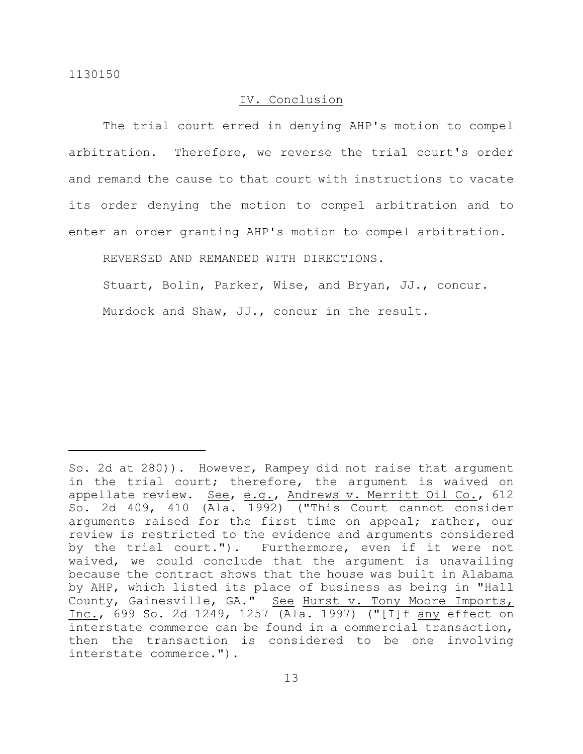## IV. Conclusion

The trial court erred in denying AHP's motion to compel arbitration. Therefore, we reverse the trial court's order and remand the cause to that court with instructions to vacate its order denying the motion to compel arbitration and to enter an order granting AHP's motion to compel arbitration.

REVERSED AND REMANDED WITH DIRECTIONS.

Stuart, Bolin, Parker, Wise, and Bryan, JJ., concur.

Murdock and Shaw, JJ., concur in the result.

So. 2d at 280)). However, Rampey did not raise that argument in the trial court; therefore, the argument is waived on appellate review. See, e.g., Andrews v. Merritt Oil Co., 612 So. 2d 409, 410 (Ala. 1992) ("This Court cannot consider arguments raised for the first time on appeal; rather, our review is restricted to the evidence and arguments considered by the trial court."). Furthermore, even if it were not waived, we could conclude that the argument is unavailing because the contract shows that the house was built in Alabama by AHP, which listed its place of business as being in "Hall County, Gainesville, GA." See Hurst v. Tony Moore Imports, Inc., 699 So. 2d 1249, 1257 (Ala. 1997) ("[I]f any effect on interstate commerce can be found in a commercial transaction, then the transaction is considered to be one involving interstate commerce.").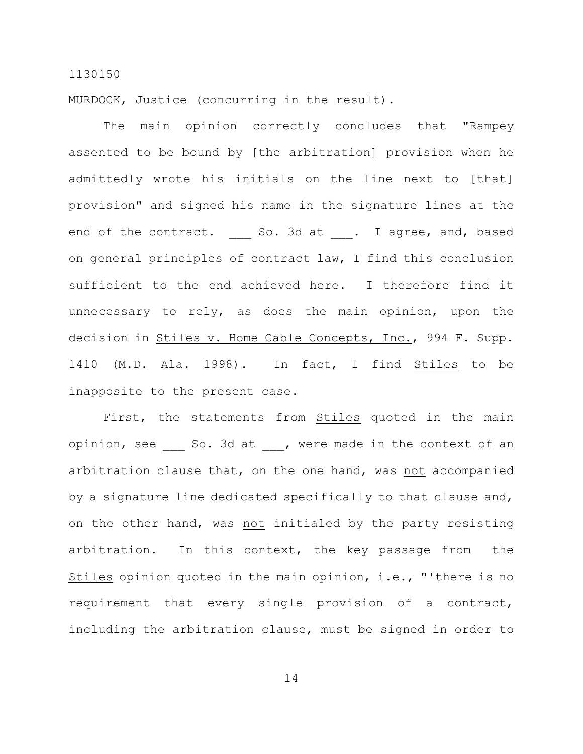MURDOCK, Justice (concurring in the result).

The main opinion correctly concludes that "Rampey assented to be bound by [the arbitration] provision when he admittedly wrote his initials on the line next to [that] provision" and signed his name in the signature lines at the end of the contract. So. 3d at . I agree, and, based on general principles of contract law, I find this conclusion sufficient to the end achieved here. I therefore find it unnecessary to rely, as does the main opinion, upon the decision in Stiles v. Home Cable Concepts, Inc., 994 F. Supp. 1410 (M.D. Ala. 1998). In fact, I find Stiles to be inapposite to the present case.

First, the statements from Stiles quoted in the main opinion, see \_\_\_ So. 3d at \_\_\_, were made in the context of an arbitration clause that, on the one hand, was not accompanied by a signature line dedicated specifically to that clause and, on the other hand, was not initialed by the party resisting arbitration. In this context, the key passage from the Stiles opinion quoted in the main opinion, i.e., "'there is no requirement that every single provision of a contract, including the arbitration clause, must be signed in order to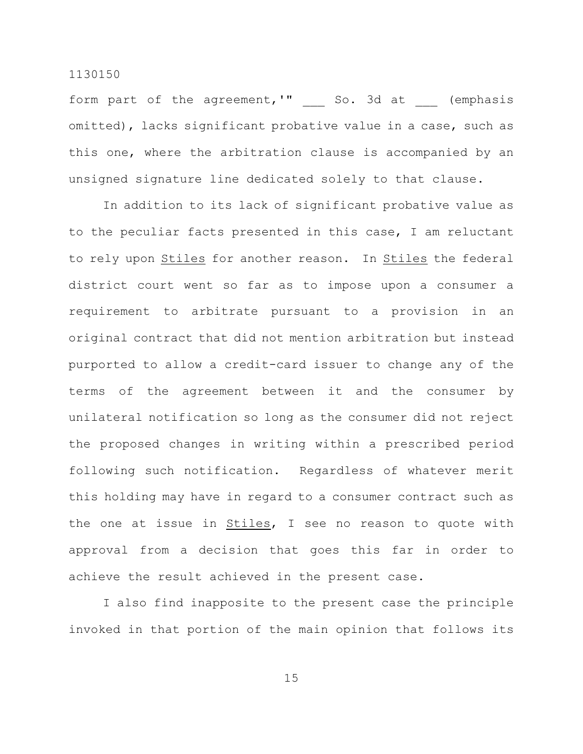form part of the agreement,'" and So. 3d at (emphasis omitted), lacks significant probative value in a case, such as this one, where the arbitration clause is accompanied by an unsigned signature line dedicated solely to that clause.

In addition to its lack of significant probative value as to the peculiar facts presented in this case, I am reluctant to rely upon Stiles for another reason. In Stiles the federal district court went so far as to impose upon a consumer a requirement to arbitrate pursuant to a provision in an original contract that did not mention arbitration but instead purported to allow a credit-card issuer to change any of the terms of the agreement between it and the consumer by unilateral notification so long as the consumer did not reject the proposed changes in writing within a prescribed period following such notification. Regardless of whatever merit this holding may have in regard to a consumer contract such as the one at issue in Stiles, I see no reason to quote with approval from a decision that goes this far in order to achieve the result achieved in the present case.

I also find inapposite to the present case the principle invoked in that portion of the main opinion that follows its